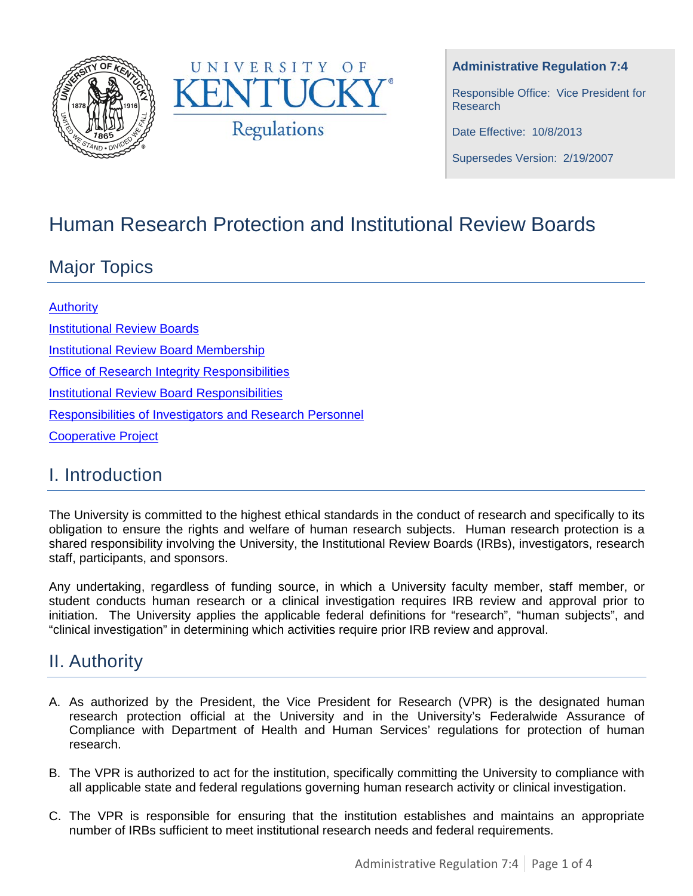



#### **Administrative Regulation 7:4**

Responsible Office: Vice President for **Research** 

Date Effective: 10/8/2013

Supersedes Version: 2/19/2007

# Human Research Protection and Institutional Review Boards

# Major Topics

**[Authority](#page-0-0)** [Institutional Review Boards](#page-1-0) [Institutional Review Board Membership](#page-1-1) [Office of Research Integrity Responsibilities](#page-1-2) [Institutional Review Board Responsibilities](#page-1-3) [Responsibilities of Investigators and Research Personnel](#page-2-0) [Cooperative Project](#page-2-1)

# I. Introduction

The University is committed to the highest ethical standards in the conduct of research and specifically to its obligation to ensure the rights and welfare of human research subjects. Human research protection is a shared responsibility involving the University, the Institutional Review Boards (IRBs), investigators, research staff, participants, and sponsors.

Any undertaking, regardless of funding source, in which a University faculty member, staff member, or student conducts human research or a clinical investigation requires IRB review and approval prior to initiation. The University applies the applicable federal definitions for "research", "human subjects", and "clinical investigation" in determining which activities require prior IRB review and approval.

# <span id="page-0-0"></span>II. Authority

- A. As authorized by the President, the Vice President for Research (VPR) is the designated human research protection official at the University and in the University's Federalwide Assurance of Compliance with Department of Health and Human Services' regulations for protection of human research.
- B. The VPR is authorized to act for the institution, specifically committing the University to compliance with all applicable state and federal regulations governing human research activity or clinical investigation.
- C. The VPR is responsible for ensuring that the institution establishes and maintains an appropriate number of IRBs sufficient to meet institutional research needs and federal requirements.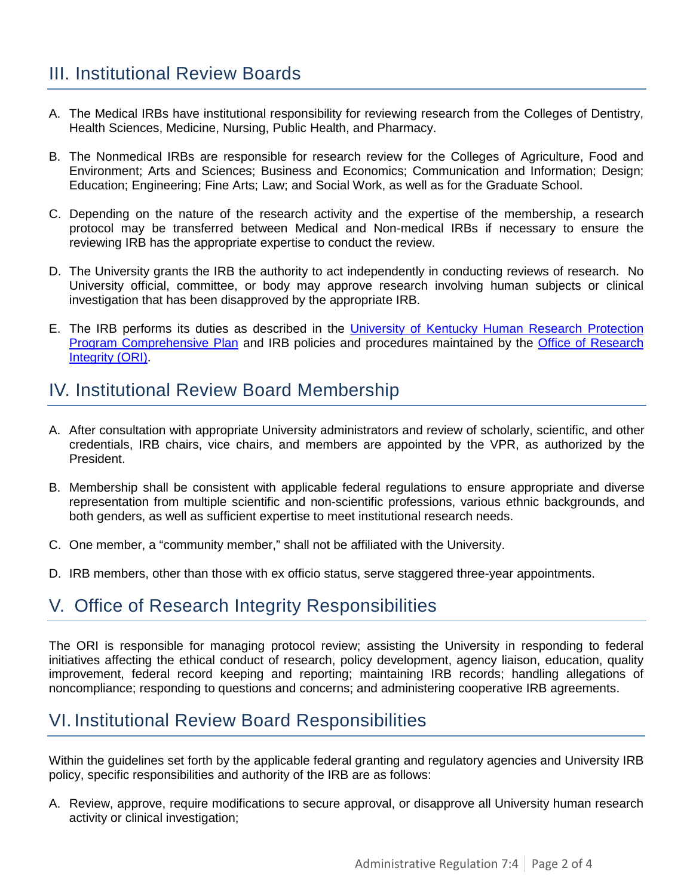# <span id="page-1-0"></span>III. Institutional Review Boards

- A. The Medical IRBs have institutional responsibility for reviewing research from the Colleges of Dentistry, Health Sciences, Medicine, Nursing, Public Health, and Pharmacy.
- B. The Nonmedical IRBs are responsible for research review for the Colleges of Agriculture, Food and Environment; Arts and Sciences; Business and Economics; Communication and Information; Design; Education; Engineering; Fine Arts; Law; and Social Work, as well as for the Graduate School.
- C. Depending on the nature of the research activity and the expertise of the membership, a research protocol may be transferred between Medical and Non-medical IRBs if necessary to ensure the reviewing IRB has the appropriate expertise to conduct the review.
- D. The University grants the IRB the authority to act independently in conducting reviews of research. No University official, committee, or body may approve research involving human subjects or clinical investigation that has been disapproved by the appropriate IRB.
- E. The IRB performs its duties as described in the [University of Kentucky Human Research Protection](http://www.research.uky.edu/vpresearch/documents/HRPP_Plan_12.pdf)  [Program Comprehensive Plan](http://www.research.uky.edu/vpresearch/documents/HRPP_Plan_12.pdf) and IRB policies and procedures maintained by the [Office of Research](http://www.research.uky.edu/ori/)  [Integrity \(ORI\).](http://www.research.uky.edu/ori/)

# <span id="page-1-1"></span>IV. Institutional Review Board Membership

- A. After consultation with appropriate University administrators and review of scholarly, scientific, and other credentials, IRB chairs, vice chairs, and members are appointed by the VPR, as authorized by the President.
- B. Membership shall be consistent with applicable federal regulations to ensure appropriate and diverse representation from multiple scientific and non-scientific professions, various ethnic backgrounds, and both genders, as well as sufficient expertise to meet institutional research needs.
- C. One member, a "community member," shall not be affiliated with the University.
- D. IRB members, other than those with ex officio status, serve staggered three-year appointments.

## <span id="page-1-2"></span>V. Office of Research Integrity Responsibilities

The ORI is responsible for managing protocol review; assisting the University in responding to federal initiatives affecting the ethical conduct of research, policy development, agency liaison, education, quality improvement, federal record keeping and reporting; maintaining IRB records; handling allegations of noncompliance; responding to questions and concerns; and administering cooperative IRB agreements.

# <span id="page-1-3"></span>VI. Institutional Review Board Responsibilities

Within the guidelines set forth by the applicable federal granting and regulatory agencies and University IRB policy, specific responsibilities and authority of the IRB are as follows:

A. Review, approve, require modifications to secure approval, or disapprove all University human research activity or clinical investigation;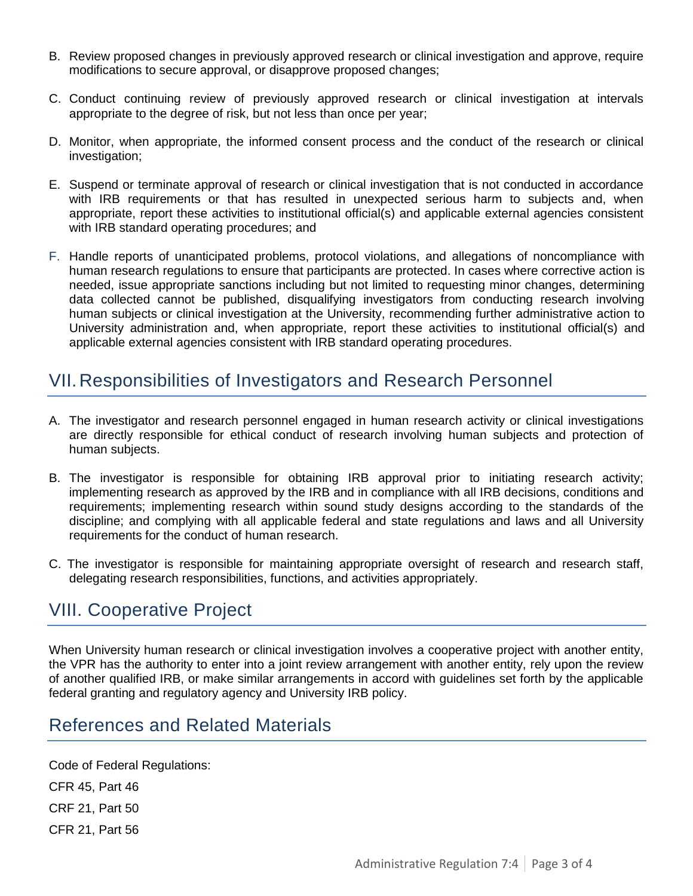- B. Review proposed changes in previously approved research or clinical investigation and approve, require modifications to secure approval, or disapprove proposed changes;
- C. Conduct continuing review of previously approved research or clinical investigation at intervals appropriate to the degree of risk, but not less than once per year;
- D. Monitor, when appropriate, the informed consent process and the conduct of the research or clinical investigation;
- E. Suspend or terminate approval of research or clinical investigation that is not conducted in accordance with IRB requirements or that has resulted in unexpected serious harm to subjects and, when appropriate, report these activities to institutional official(s) and applicable external agencies consistent with IRB standard operating procedures; and
- F. Handle reports of unanticipated problems, protocol violations, and allegations of noncompliance with human research regulations to ensure that participants are protected. In cases where corrective action is needed, issue appropriate sanctions including but not limited to requesting minor changes, determining data collected cannot be published, disqualifying investigators from conducting research involving human subjects or clinical investigation at the University, recommending further administrative action to University administration and, when appropriate, report these activities to institutional official(s) and applicable external agencies consistent with IRB standard operating procedures.

## <span id="page-2-0"></span>VII.Responsibilities of Investigators and Research Personnel

- A. The investigator and research personnel engaged in human research activity or clinical investigations are directly responsible for ethical conduct of research involving human subjects and protection of human subjects.
- B. The investigator is responsible for obtaining IRB approval prior to initiating research activity; implementing research as approved by the IRB and in compliance with all IRB decisions, conditions and requirements; implementing research within sound study designs according to the standards of the discipline; and complying with all applicable federal and state regulations and laws and all University requirements for the conduct of human research.
- C. The investigator is responsible for maintaining appropriate oversight of research and research staff, delegating research responsibilities, functions, and activities appropriately.

## <span id="page-2-1"></span>VIII. Cooperative Project

When University human research or clinical investigation involves a cooperative project with another entity, the VPR has the authority to enter into a joint review arrangement with another entity, rely upon the review of another qualified IRB, or make similar arrangements in accord with guidelines set forth by the applicable federal granting and regulatory agency and University IRB policy.

## References and Related Materials

Code of Federal Regulations:

CFR 45, Part 46

CRF 21, Part 50

CFR 21, Part 56